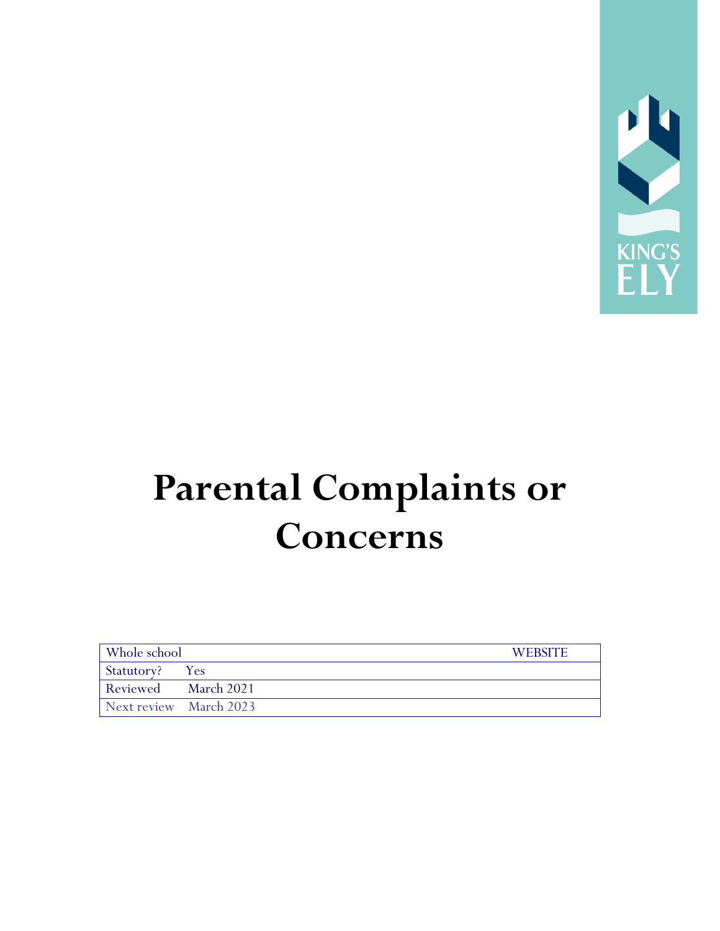

# **Parental Complaints or Concerns**

| Whole school           |  | <b>WEBSITE</b> |
|------------------------|--|----------------|
| Statutory? Yes         |  |                |
| Reviewed March 2021    |  |                |
| Next review March 2023 |  |                |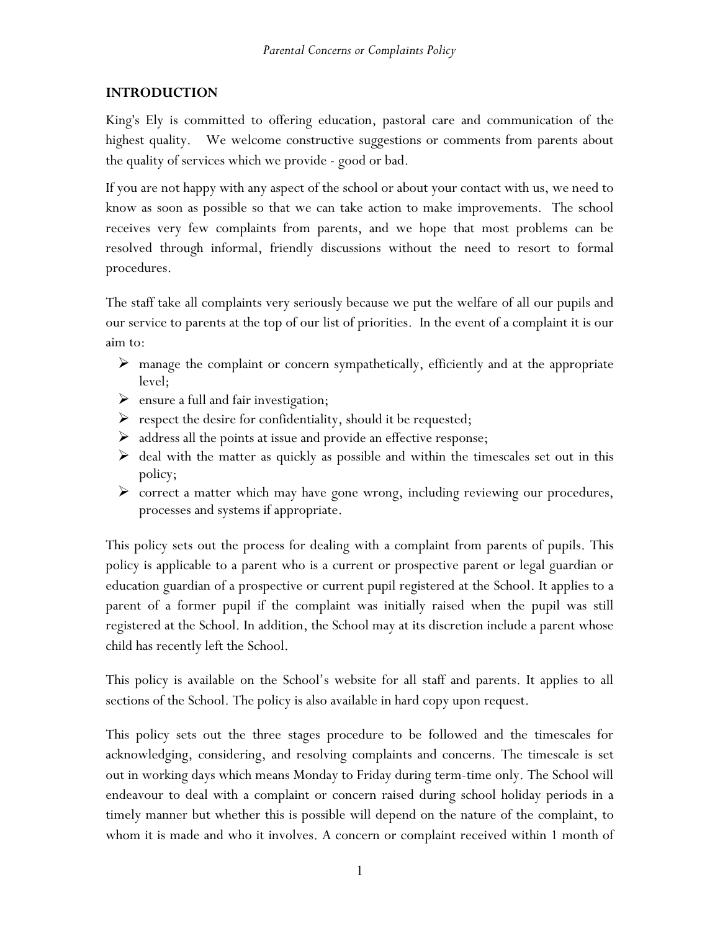### **INTRODUCTION**

King's Ely is committed to offering education, pastoral care and communication of the highest quality. We welcome constructive suggestions or comments from parents about the quality of services which we provide - good or bad.

If you are not happy with any aspect of the school or about your contact with us, we need to know as soon as possible so that we can take action to make improvements. The school receives very few complaints from parents, and we hope that most problems can be resolved through informal, friendly discussions without the need to resort to formal procedures.

The staff take all complaints very seriously because we put the welfare of all our pupils and our service to parents at the top of our list of priorities. In the event of a complaint it is our aim to:

- $\triangleright$  manage the complaint or concern sympathetically, efficiently and at the appropriate level;
- $\triangleright$  ensure a full and fair investigation;
- $\triangleright$  respect the desire for confidentiality, should it be requested;
- $\triangleright$  address all the points at issue and provide an effective response;
- $\triangleright$  deal with the matter as quickly as possible and within the timescales set out in this policy;
- correct a matter which may have gone wrong, including reviewing our procedures, processes and systems if appropriate.

This policy sets out the process for dealing with a complaint from parents of pupils. This policy is applicable to a parent who is a current or prospective parent or legal guardian or education guardian of a prospective or current pupil registered at the School. It applies to a parent of a former pupil if the complaint was initially raised when the pupil was still registered at the School. In addition, the School may at its discretion include a parent whose child has recently left the School.

This policy is available on the School's website for all staff and parents. It applies to all sections of the School. The policy is also available in hard copy upon request.

This policy sets out the three stages procedure to be followed and the timescales for acknowledging, considering, and resolving complaints and concerns. The timescale is set out in working days which means Monday to Friday during term-time only. The School will endeavour to deal with a complaint or concern raised during school holiday periods in a timely manner but whether this is possible will depend on the nature of the complaint, to whom it is made and who it involves. A concern or complaint received within 1 month of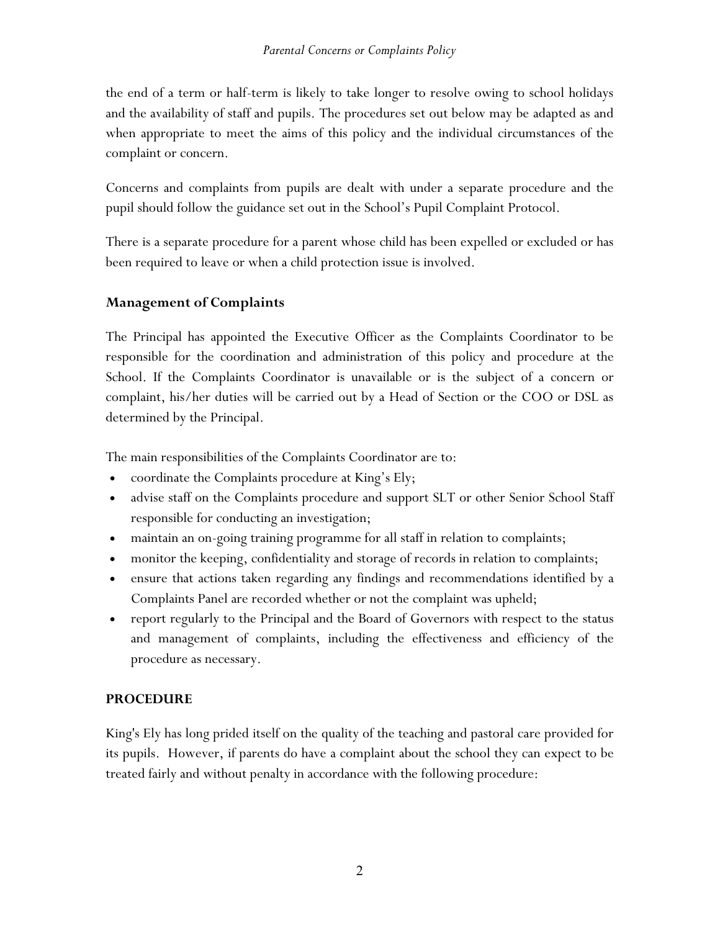the end of a term or half-term is likely to take longer to resolve owing to school holidays and the availability of staff and pupils. The procedures set out below may be adapted as and when appropriate to meet the aims of this policy and the individual circumstances of the complaint or concern.

Concerns and complaints from pupils are dealt with under a separate procedure and the pupil should follow the guidance set out in the School's Pupil Complaint Protocol.

There is a separate procedure for a parent whose child has been expelled or excluded or has been required to leave or when a child protection issue is involved.

## **Management of Complaints**

The Principal has appointed the Executive Officer as the Complaints Coordinator to be responsible for the coordination and administration of this policy and procedure at the School. If the Complaints Coordinator is unavailable or is the subject of a concern or complaint, his/her duties will be carried out by a Head of Section or the COO or DSL as determined by the Principal.

The main responsibilities of the Complaints Coordinator are to:

- coordinate the Complaints procedure at King's Ely;
- advise staff on the Complaints procedure and support SLT or other Senior School Staff responsible for conducting an investigation;
- maintain an on-going training programme for all staff in relation to complaints;
- monitor the keeping, confidentiality and storage of records in relation to complaints;
- ensure that actions taken regarding any findings and recommendations identified by a Complaints Panel are recorded whether or not the complaint was upheld;
- report regularly to the Principal and the Board of Governors with respect to the status and management of complaints, including the effectiveness and efficiency of the procedure as necessary.

## **PROCEDURE**

King's Ely has long prided itself on the quality of the teaching and pastoral care provided for its pupils. However, if parents do have a complaint about the school they can expect to be treated fairly and without penalty in accordance with the following procedure: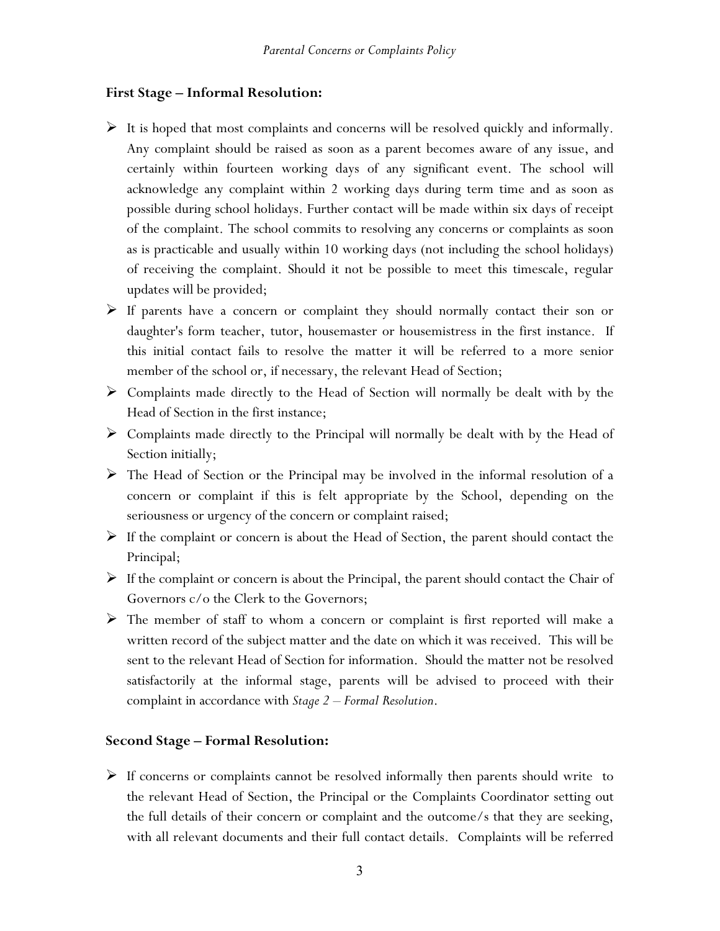#### **First Stage – Informal Resolution:**

- $\triangleright$  It is hoped that most complaints and concerns will be resolved quickly and informally. Any complaint should be raised as soon as a parent becomes aware of any issue, and certainly within fourteen working days of any significant event. The school will acknowledge any complaint within 2 working days during term time and as soon as possible during school holidays. Further contact will be made within six days of receipt of the complaint. The school commits to resolving any concerns or complaints as soon as is practicable and usually within 10 working days (not including the school holidays) of receiving the complaint. Should it not be possible to meet this timescale, regular updates will be provided;
- $\triangleright$  If parents have a concern or complaint they should normally contact their son or daughter's form teacher, tutor, housemaster or housemistress in the first instance. If this initial contact fails to resolve the matter it will be referred to a more senior member of the school or, if necessary, the relevant Head of Section;
- $\triangleright$  Complaints made directly to the Head of Section will normally be dealt with by the Head of Section in the first instance;
- $\triangleright$  Complaints made directly to the Principal will normally be dealt with by the Head of Section initially;
- The Head of Section or the Principal may be involved in the informal resolution of a concern or complaint if this is felt appropriate by the School, depending on the seriousness or urgency of the concern or complaint raised;
- $\triangleright$  If the complaint or concern is about the Head of Section, the parent should contact the Principal;
- $\triangleright$  If the complaint or concern is about the Principal, the parent should contact the Chair of Governors c/o the Clerk to the Governors;
- The member of staff to whom a concern or complaint is first reported will make a written record of the subject matter and the date on which it was received. This will be sent to the relevant Head of Section for information. Should the matter not be resolved satisfactorily at the informal stage, parents will be advised to proceed with their complaint in accordance with *Stage 2 – Formal Resolution*.

## **Second Stage – Formal Resolution:**

 $\triangleright$  If concerns or complaints cannot be resolved informally then parents should write to the relevant Head of Section, the Principal or the Complaints Coordinator setting out the full details of their concern or complaint and the outcome/s that they are seeking, with all relevant documents and their full contact details. Complaints will be referred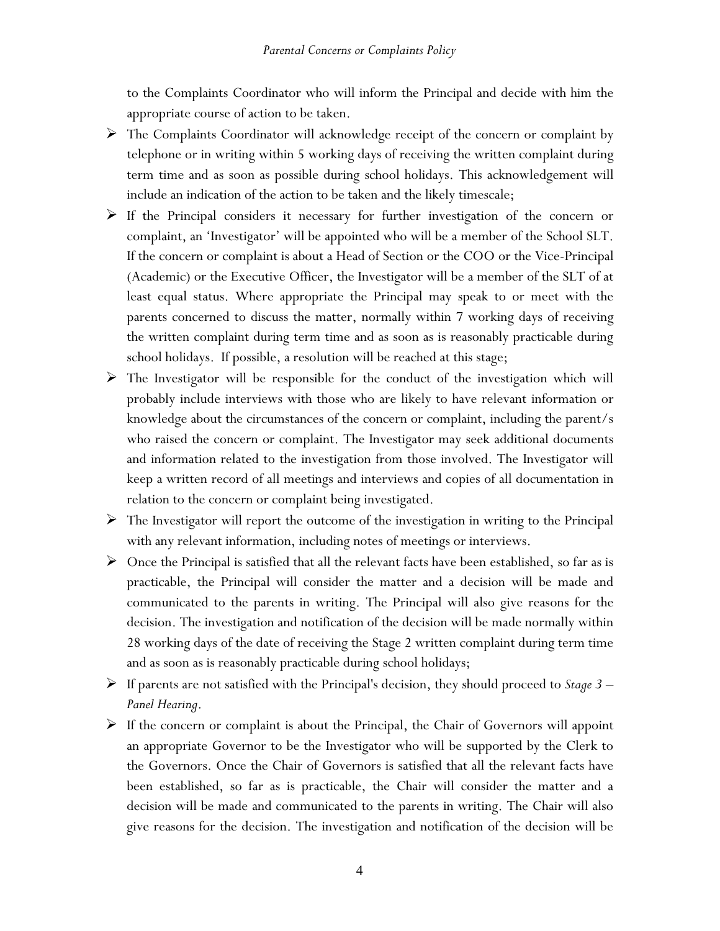to the Complaints Coordinator who will inform the Principal and decide with him the appropriate course of action to be taken.

- $\triangleright$  The Complaints Coordinator will acknowledge receipt of the concern or complaint by telephone or in writing within 5 working days of receiving the written complaint during term time and as soon as possible during school holidays. This acknowledgement will include an indication of the action to be taken and the likely timescale;
- $\triangleright$  If the Principal considers it necessary for further investigation of the concern or complaint, an 'Investigator' will be appointed who will be a member of the School SLT. If the concern or complaint is about a Head of Section or the COO or the Vice-Principal (Academic) or the Executive Officer, the Investigator will be a member of the SLT of at least equal status. Where appropriate the Principal may speak to or meet with the parents concerned to discuss the matter, normally within 7 working days of receiving the written complaint during term time and as soon as is reasonably practicable during school holidays. If possible, a resolution will be reached at this stage;
- $\triangleright$  The Investigator will be responsible for the conduct of the investigation which will probably include interviews with those who are likely to have relevant information or knowledge about the circumstances of the concern or complaint, including the parent/s who raised the concern or complaint. The Investigator may seek additional documents and information related to the investigation from those involved. The Investigator will keep a written record of all meetings and interviews and copies of all documentation in relation to the concern or complaint being investigated.
- $\triangleright$  The Investigator will report the outcome of the investigation in writing to the Principal with any relevant information, including notes of meetings or interviews.
- $\triangleright$  Once the Principal is satisfied that all the relevant facts have been established, so far as is practicable, the Principal will consider the matter and a decision will be made and communicated to the parents in writing. The Principal will also give reasons for the decision. The investigation and notification of the decision will be made normally within 28 working days of the date of receiving the Stage 2 written complaint during term time and as soon as is reasonably practicable during school holidays;
- If parents are not satisfied with the Principal's decision, they should proceed to *Stage 3 Panel Hearing*.
- $\triangleright$  If the concern or complaint is about the Principal, the Chair of Governors will appoint an appropriate Governor to be the Investigator who will be supported by the Clerk to the Governors. Once the Chair of Governors is satisfied that all the relevant facts have been established, so far as is practicable, the Chair will consider the matter and a decision will be made and communicated to the parents in writing. The Chair will also give reasons for the decision. The investigation and notification of the decision will be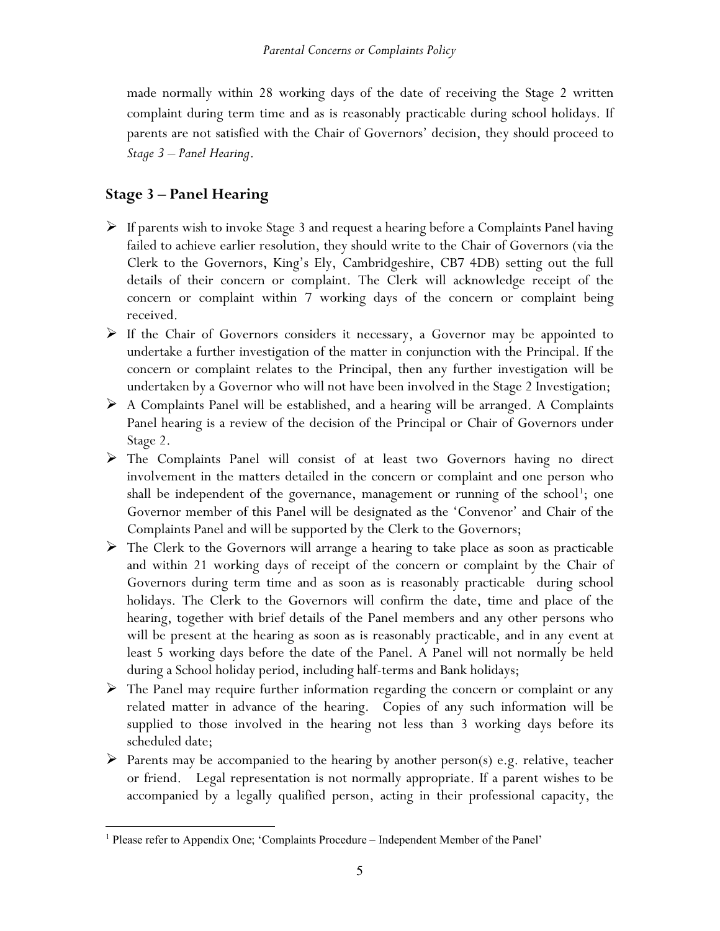made normally within 28 working days of the date of receiving the Stage 2 written complaint during term time and as is reasonably practicable during school holidays. If parents are not satisfied with the Chair of Governors' decision, they should proceed to *Stage 3* – *Panel Hearing*.

# **Stage 3 – Panel Hearing**

- $\triangleright$  If parents wish to invoke Stage 3 and request a hearing before a Complaints Panel having failed to achieve earlier resolution, they should write to the Chair of Governors (via the Clerk to the Governors, King's Ely, Cambridgeshire, CB7 4DB) setting out the full details of their concern or complaint. The Clerk will acknowledge receipt of the concern or complaint within 7 working days of the concern or complaint being received.
- If the Chair of Governors considers it necessary, a Governor may be appointed to undertake a further investigation of the matter in conjunction with the Principal. If the concern or complaint relates to the Principal, then any further investigation will be undertaken by a Governor who will not have been involved in the Stage 2 Investigation;
- $\triangleright$  A Complaints Panel will be established, and a hearing will be arranged. A Complaints Panel hearing is a review of the decision of the Principal or Chair of Governors under Stage 2.
- The Complaints Panel will consist of at least two Governors having no direct involvement in the matters detailed in the concern or complaint and one person who shall be independent of the governance, management or running of the school<sup>[1](#page-5-0)</sup>; one Governor member of this Panel will be designated as the 'Convenor' and Chair of the Complaints Panel and will be supported by the Clerk to the Governors;
- $\triangleright$  The Clerk to the Governors will arrange a hearing to take place as soon as practicable and within 21 working days of receipt of the concern or complaint by the Chair of Governors during term time and as soon as is reasonably practicable during school holidays. The Clerk to the Governors will confirm the date, time and place of the hearing, together with brief details of the Panel members and any other persons who will be present at the hearing as soon as is reasonably practicable, and in any event at least 5 working days before the date of the Panel. A Panel will not normally be held during a School holiday period, including half-terms and Bank holidays;
- $\triangleright$  The Panel may require further information regarding the concern or complaint or any related matter in advance of the hearing. Copies of any such information will be supplied to those involved in the hearing not less than 3 working days before its scheduled date;
- $\triangleright$  Parents may be accompanied to the hearing by another person(s) e.g. relative, teacher or friend. Legal representation is not normally appropriate. If a parent wishes to be accompanied by a legally qualified person, acting in their professional capacity, the

<span id="page-5-0"></span><sup>&</sup>lt;sup>1</sup> Please refer to Appendix One; 'Complaints Procedure – Independent Member of the Panel'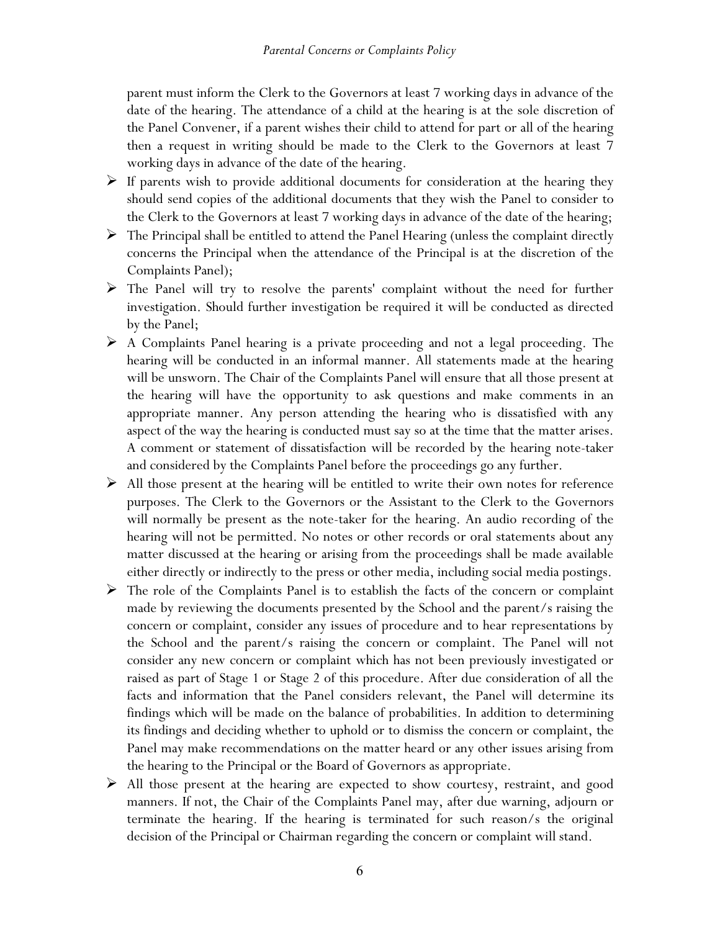parent must inform the Clerk to the Governors at least 7 working days in advance of the date of the hearing. The attendance of a child at the hearing is at the sole discretion of the Panel Convener, if a parent wishes their child to attend for part or all of the hearing then a request in writing should be made to the Clerk to the Governors at least 7 working days in advance of the date of the hearing.

- $\triangleright$  If parents wish to provide additional documents for consideration at the hearing they should send copies of the additional documents that they wish the Panel to consider to the Clerk to the Governors at least 7 working days in advance of the date of the hearing;
- $\triangleright$  The Principal shall be entitled to attend the Panel Hearing (unless the complaint directly concerns the Principal when the attendance of the Principal is at the discretion of the Complaints Panel);
- $\triangleright$  The Panel will try to resolve the parents' complaint without the need for further investigation. Should further investigation be required it will be conducted as directed by the Panel;
- $\triangleright$  A Complaints Panel hearing is a private proceeding and not a legal proceeding. The hearing will be conducted in an informal manner. All statements made at the hearing will be unsworn. The Chair of the Complaints Panel will ensure that all those present at the hearing will have the opportunity to ask questions and make comments in an appropriate manner. Any person attending the hearing who is dissatisfied with any aspect of the way the hearing is conducted must say so at the time that the matter arises. A comment or statement of dissatisfaction will be recorded by the hearing note-taker and considered by the Complaints Panel before the proceedings go any further.
- $\triangleright$  All those present at the hearing will be entitled to write their own notes for reference purposes. The Clerk to the Governors or the Assistant to the Clerk to the Governors will normally be present as the note-taker for the hearing. An audio recording of the hearing will not be permitted. No notes or other records or oral statements about any matter discussed at the hearing or arising from the proceedings shall be made available either directly or indirectly to the press or other media, including social media postings.
- $\triangleright$  The role of the Complaints Panel is to establish the facts of the concern or complaint made by reviewing the documents presented by the School and the parent/s raising the concern or complaint, consider any issues of procedure and to hear representations by the School and the parent/s raising the concern or complaint. The Panel will not consider any new concern or complaint which has not been previously investigated or raised as part of Stage 1 or Stage 2 of this procedure. After due consideration of all the facts and information that the Panel considers relevant, the Panel will determine its findings which will be made on the balance of probabilities. In addition to determining its findings and deciding whether to uphold or to dismiss the concern or complaint, the Panel may make recommendations on the matter heard or any other issues arising from the hearing to the Principal or the Board of Governors as appropriate.
- $\triangleright$  All those present at the hearing are expected to show courtesy, restraint, and good manners. If not, the Chair of the Complaints Panel may, after due warning, adjourn or terminate the hearing. If the hearing is terminated for such reason/s the original decision of the Principal or Chairman regarding the concern or complaint will stand.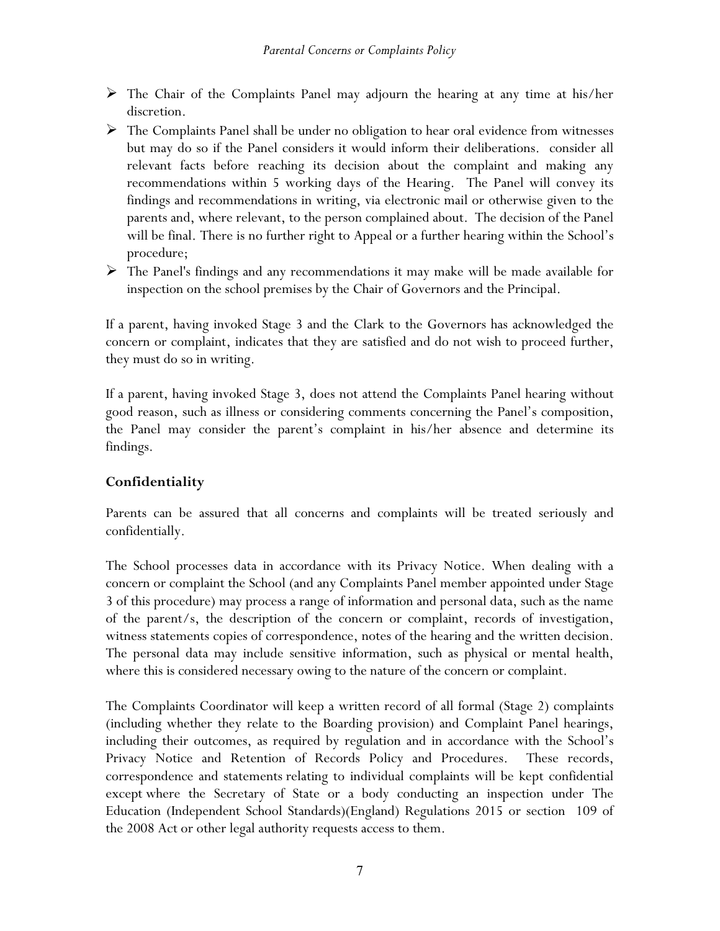- The Chair of the Complaints Panel may adjourn the hearing at any time at his/her discretion.
- $\triangleright$  The Complaints Panel shall be under no obligation to hear oral evidence from witnesses but may do so if the Panel considers it would inform their deliberations. consider all relevant facts before reaching its decision about the complaint and making any recommendations within 5 working days of the Hearing. The Panel will convey its findings and recommendations in writing, via electronic mail or otherwise given to the parents and, where relevant, to the person complained about. The decision of the Panel will be final. There is no further right to Appeal or a further hearing within the School's procedure;
- $\triangleright$  The Panel's findings and any recommendations it may make will be made available for inspection on the school premises by the Chair of Governors and the Principal.

If a parent, having invoked Stage 3 and the Clark to the Governors has acknowledged the concern or complaint, indicates that they are satisfied and do not wish to proceed further, they must do so in writing.

If a parent, having invoked Stage 3, does not attend the Complaints Panel hearing without good reason, such as illness or considering comments concerning the Panel's composition, the Panel may consider the parent's complaint in his/her absence and determine its findings.

## **Confidentiality**

Parents can be assured that all concerns and complaints will be treated seriously and confidentially.

The School processes data in accordance with its Privacy Notice. When dealing with a concern or complaint the School (and any Complaints Panel member appointed under Stage 3 of this procedure) may process a range of information and personal data, such as the name of the parent/s, the description of the concern or complaint, records of investigation, witness statements copies of correspondence, notes of the hearing and the written decision. The personal data may include sensitive information, such as physical or mental health, where this is considered necessary owing to the nature of the concern or complaint.

The Complaints Coordinator will keep a written record of all formal (Stage 2) complaints (including whether they relate to the Boarding provision) and Complaint Panel hearings, including their outcomes, as required by regulation and in accordance with the School's Privacy Notice and Retention of Records Policy and Procedures. These records, correspondence and statements relating to individual complaints will be kept confidential except where the Secretary of State or a body conducting an inspection under The Education (Independent School Standards)(England) Regulations 2015 or section 109 of the 2008 Act or other legal authority requests access to them.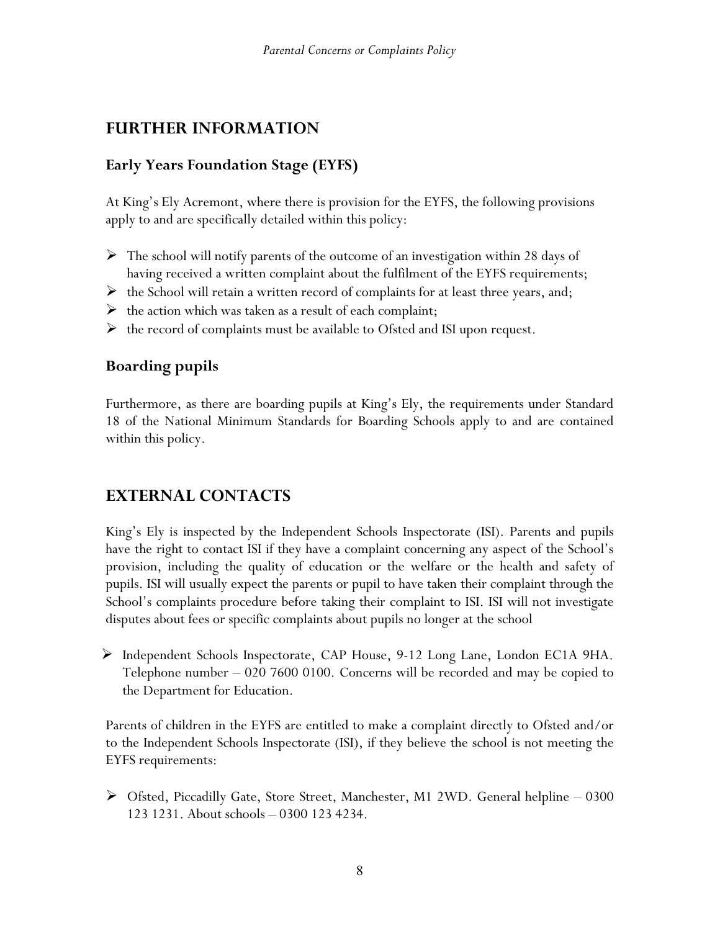# **FURTHER INFORMATION**

## **Early Years Foundation Stage (EYFS)**

At King's Ely Acremont, where there is provision for the EYFS, the following provisions apply to and are specifically detailed within this policy:

- $\triangleright$  The school will notify parents of the outcome of an investigation within 28 days of having received a written complaint about the fulfilment of the EYFS requirements;
- $\triangleright$  the School will retain a written record of complaints for at least three years, and;
- $\triangleright$  the action which was taken as a result of each complaint;
- $\triangleright$  the record of complaints must be available to Ofsted and ISI upon request.

# **Boarding pupils**

Furthermore, as there are boarding pupils at King's Ely, the requirements under Standard 18 of the National Minimum Standards for Boarding Schools apply to and are contained within this policy.

# **EXTERNAL CONTACTS**

King's Ely is inspected by the Independent Schools Inspectorate (ISI). Parents and pupils have the right to contact ISI if they have a complaint concerning any aspect of the School's provision, including the quality of education or the welfare or the health and safety of pupils. ISI will usually expect the parents or pupil to have taken their complaint through the School's complaints procedure before taking their complaint to ISI. ISI will not investigate disputes about fees or specific complaints about pupils no longer at the school

 $\triangleright$  Independent Schools Inspectorate, CAP House, 9-12 Long Lane, London EC1A 9HA. Telephone number – 020 7600 0100. Concerns will be recorded and may be copied to the Department for Education.

Parents of children in the EYFS are entitled to make a complaint directly to Ofsted and/or to the Independent Schools Inspectorate (ISI), if they believe the school is not meeting the EYFS requirements:

 $\triangleright$  Ofsted, Piccadilly Gate, Store Street, Manchester, M1 2WD. General helpline – 0300 123 1231. About schools – 0300 123 4234.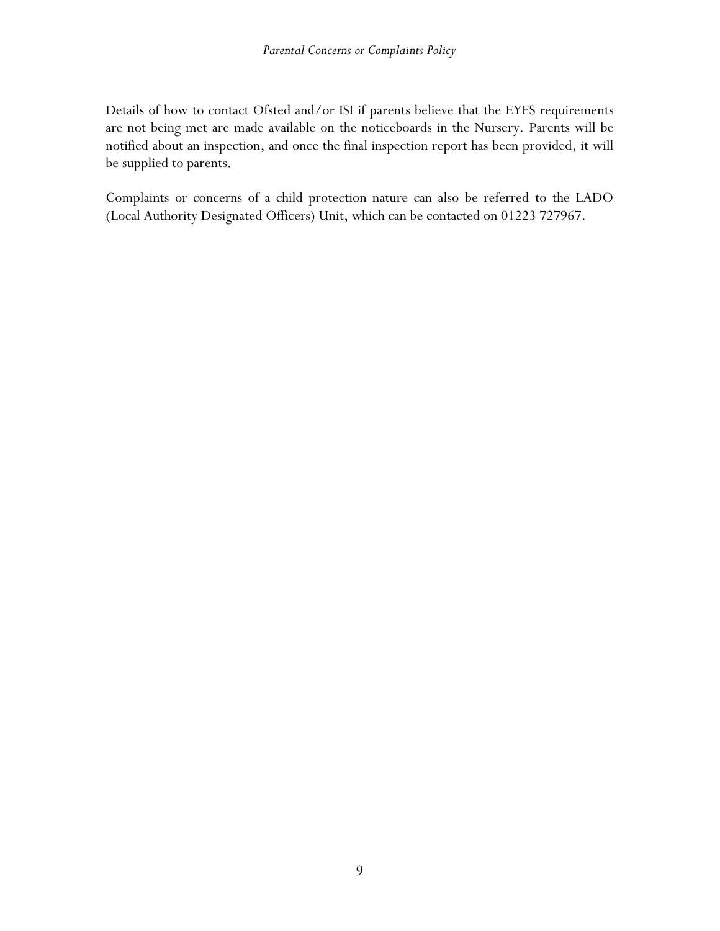Details of how to contact Ofsted and/or ISI if parents believe that the EYFS requirements are not being met are made available on the noticeboards in the Nursery. Parents will be notified about an inspection, and once the final inspection report has been provided, it will be supplied to parents.

Complaints or concerns of a child protection nature can also be referred to the LADO (Local Authority Designated Officers) Unit, which can be contacted on 01223 727967.